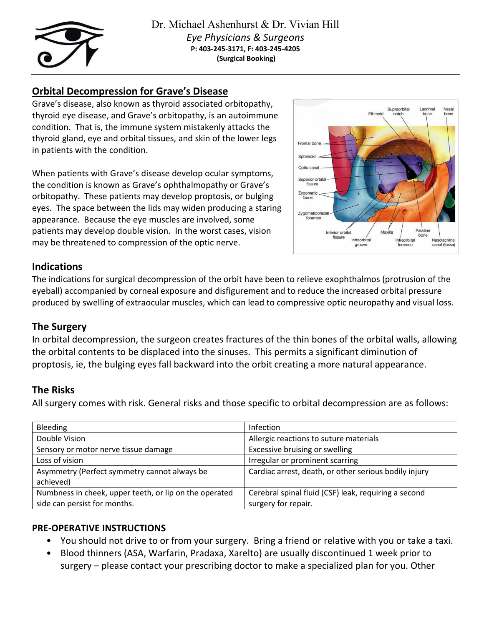

# **Orbital Decompression for Grave's Disease**

Grave's disease, also known as thyroid associated orbitopathy, thyroid eye disease, and Grave's orbitopathy, is an autoimmune condition. That is, the immune system mistakenly attacks the thyroid gland, eye and orbital tissues, and skin of the lower legs in patients with the condition.

When patients with Grave's disease develop ocular symptoms, the condition is known as Grave's ophthalmopathy or Grave's orbitopathy. These patients may develop proptosis, or bulging eyes. The space between the lids may widen producing a staring appearance. Because the eye muscles are involved, some patients may develop double vision. In the worst cases, vision may be threatened to compression of the optic nerve.



# **Indications**

The indications for surgical decompression of the orbit have been to relieve exophthalmos (protrusion of the eyeball) accompanied by corneal exposure and disfigurement and to reduce the increased orbital pressure produced by swelling of extraocular muscles, which can lead to compressive optic neuropathy and visual loss.

# **The Surgery**

In orbital decompression, the surgeon creates fractures of the thin bones of the orbital walls, allowing the orbital contents to be displaced into the sinuses. This permits a significant diminution of proptosis, ie, the bulging eyes fall backward into the orbit creating a more natural appearance.

# **The Risks**

All surgery comes with risk. General risks and those specific to orbital decompression are as follows:

| Bleeding                                               | Infection                                             |
|--------------------------------------------------------|-------------------------------------------------------|
| Double Vision                                          | Allergic reactions to suture materials                |
| Sensory or motor nerve tissue damage                   | Excessive bruising or swelling                        |
| Loss of vision                                         | Irregular or prominent scarring                       |
| Asymmetry (Perfect symmetry cannot always be           | Cardiac arrest, death, or other serious bodily injury |
| achieved)                                              |                                                       |
| Numbness in cheek, upper teeth, or lip on the operated | Cerebral spinal fluid (CSF) leak, requiring a second  |
| side can persist for months.                           | surgery for repair.                                   |

### **PRE-OPERATIVE INSTRUCTIONS**

- You should not drive to or from your surgery. Bring a friend or relative with you or take a taxi.
- Blood thinners (ASA, Warfarin, Pradaxa, Xarelto) are usually discontinued 1 week prior to surgery – please contact your prescribing doctor to make a specialized plan for you. Other